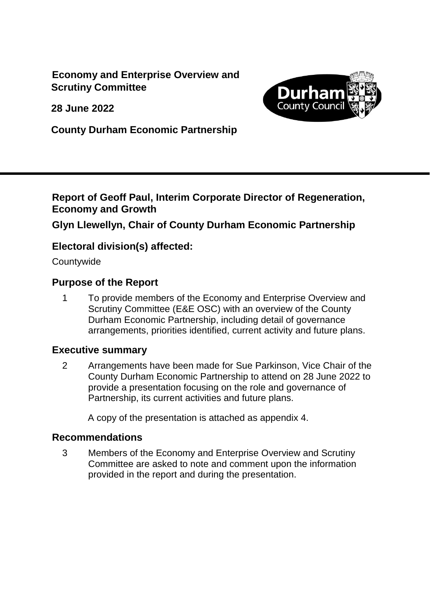**Economy and Enterprise Overview and Scrutiny Committee**

**28 June 2022**



**County Durham Economic Partnership**

#### **Report of Geoff Paul, Interim Corporate Director of Regeneration, Economy and Growth**

# **Glyn Llewellyn, Chair of County Durham Economic Partnership**

# **Electoral division(s) affected:**

**Countywide** 

#### **Purpose of the Report**

1 To provide members of the Economy and Enterprise Overview and Scrutiny Committee (E&E OSC) with an overview of the County Durham Economic Partnership, including detail of governance arrangements, priorities identified, current activity and future plans.

#### **Executive summary**

2 Arrangements have been made for Sue Parkinson, Vice Chair of the County Durham Economic Partnership to attend on 28 June 2022 to provide a presentation focusing on the role and governance of Partnership, its current activities and future plans.

A copy of the presentation is attached as appendix 4.

#### **Recommendations**

3 Members of the Economy and Enterprise Overview and Scrutiny Committee are asked to note and comment upon the information provided in the report and during the presentation.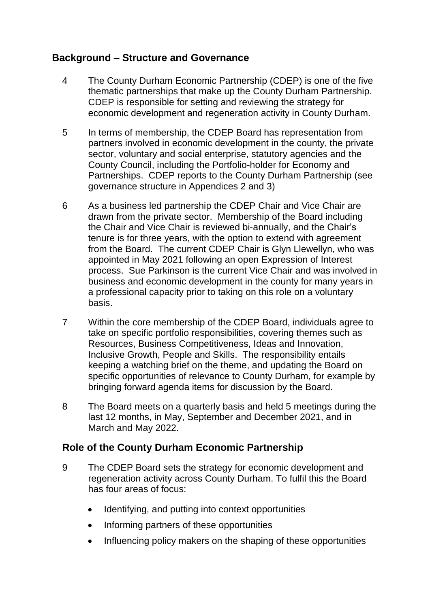# **Background – Structure and Governance**

- 4 The County Durham Economic Partnership (CDEP) is one of the five thematic partnerships that make up the County Durham Partnership. CDEP is responsible for setting and reviewing the strategy for economic development and regeneration activity in County Durham.
- 5 In terms of membership, the CDEP Board has representation from partners involved in economic development in the county, the private sector, voluntary and social enterprise, statutory agencies and the County Council, including the Portfolio-holder for Economy and Partnerships. CDEP reports to the County Durham Partnership (see governance structure in Appendices 2 and 3)
- 6 As a business led partnership the CDEP Chair and Vice Chair are drawn from the private sector. Membership of the Board including the Chair and Vice Chair is reviewed bi-annually, and the Chair's tenure is for three years, with the option to extend with agreement from the Board. The current CDEP Chair is Glyn Llewellyn, who was appointed in May 2021 following an open Expression of Interest process. Sue Parkinson is the current Vice Chair and was involved in business and economic development in the county for many years in a professional capacity prior to taking on this role on a voluntary basis.
- 7 Within the core membership of the CDEP Board, individuals agree to take on specific portfolio responsibilities, covering themes such as Resources, Business Competitiveness, Ideas and Innovation, Inclusive Growth, People and Skills. The responsibility entails keeping a watching brief on the theme, and updating the Board on specific opportunities of relevance to County Durham, for example by bringing forward agenda items for discussion by the Board.
- 8 The Board meets on a quarterly basis and held 5 meetings during the last 12 months, in May, September and December 2021, and in March and May 2022.

# **Role of the County Durham Economic Partnership**

- 9 The CDEP Board sets the strategy for economic development and regeneration activity across County Durham. To fulfil this the Board has four areas of focus:
	- Identifying, and putting into context opportunities
	- Informing partners of these opportunities
	- Influencing policy makers on the shaping of these opportunities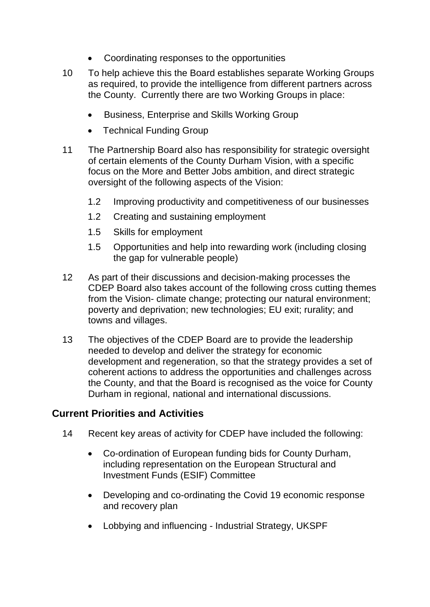- Coordinating responses to the opportunities
- 10 To help achieve this the Board establishes separate Working Groups as required, to provide the intelligence from different partners across the County. Currently there are two Working Groups in place:
	- Business, Enterprise and Skills Working Group
	- Technical Funding Group
- 11 The Partnership Board also has responsibility for strategic oversight of certain elements of the County Durham Vision, with a specific focus on the More and Better Jobs ambition, and direct strategic oversight of the following aspects of the Vision:
	- 1.2 Improving productivity and competitiveness of our businesses
	- 1.2 Creating and sustaining employment
	- 1.5 Skills for employment
	- 1.5 Opportunities and help into rewarding work (including closing the gap for vulnerable people)
- 12 As part of their discussions and decision-making processes the CDEP Board also takes account of the following cross cutting themes from the Vision- climate change; protecting our natural environment; poverty and deprivation; new technologies; EU exit; rurality; and towns and villages.
- 13 The objectives of the CDEP Board are to provide the leadership needed to develop and deliver the strategy for economic development and regeneration, so that the strategy provides a set of coherent actions to address the opportunities and challenges across the County, and that the Board is recognised as the voice for County Durham in regional, national and international discussions.

#### **Current Priorities and Activities**

- 14 Recent key areas of activity for CDEP have included the following:
	- Co-ordination of European funding bids for County Durham, including representation on the European Structural and Investment Funds (ESIF) Committee
	- Developing and co-ordinating the Covid 19 economic response and recovery plan
	- Lobbying and influencing Industrial Strategy, UKSPF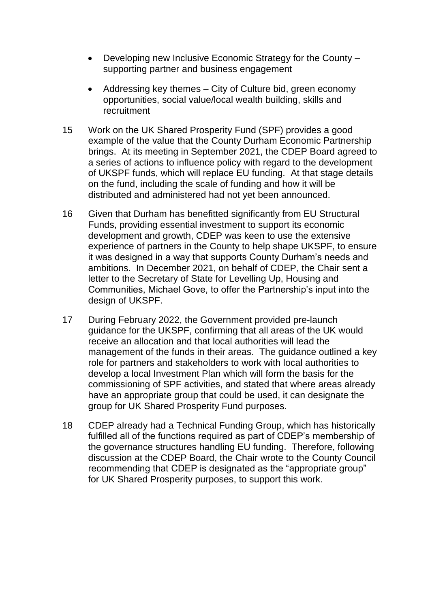- Developing new Inclusive Economic Strategy for the County supporting partner and business engagement
- Addressing key themes City of Culture bid, green economy opportunities, social value/local wealth building, skills and recruitment
- 15 Work on the UK Shared Prosperity Fund (SPF) provides a good example of the value that the County Durham Economic Partnership brings. At its meeting in September 2021, the CDEP Board agreed to a series of actions to influence policy with regard to the development of UKSPF funds, which will replace EU funding. At that stage details on the fund, including the scale of funding and how it will be distributed and administered had not yet been announced.
- 16 Given that Durham has benefitted significantly from EU Structural Funds, providing essential investment to support its economic development and growth, CDEP was keen to use the extensive experience of partners in the County to help shape UKSPF, to ensure it was designed in a way that supports County Durham's needs and ambitions. In December 2021, on behalf of CDEP, the Chair sent a letter to the Secretary of State for Levelling Up, Housing and Communities, Michael Gove, to offer the Partnership's input into the design of UKSPF.
- 17 During February 2022, the Government provided pre-launch guidance for the UKSPF, confirming that all areas of the UK would receive an allocation and that local authorities will lead the management of the funds in their areas. The guidance outlined a key role for partners and stakeholders to work with local authorities to develop a local Investment Plan which will form the basis for the commissioning of SPF activities, and stated that where areas already have an appropriate group that could be used, it can designate the group for UK Shared Prosperity Fund purposes.
- 18 CDEP already had a Technical Funding Group, which has historically fulfilled all of the functions required as part of CDEP's membership of the governance structures handling EU funding. Therefore, following discussion at the CDEP Board, the Chair wrote to the County Council recommending that CDEP is designated as the "appropriate group" for UK Shared Prosperity purposes, to support this work.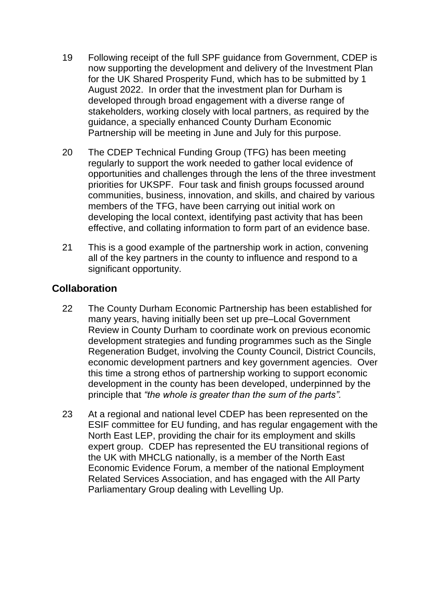- 19 Following receipt of the full SPF guidance from Government, CDEP is now supporting the development and delivery of the Investment Plan for the UK Shared Prosperity Fund, which has to be submitted by 1 August 2022. In order that the investment plan for Durham is developed through broad engagement with a diverse range of stakeholders, working closely with local partners, as required by the guidance, a specially enhanced County Durham Economic Partnership will be meeting in June and July for this purpose.
- 20 The CDEP Technical Funding Group (TFG) has been meeting regularly to support the work needed to gather local evidence of opportunities and challenges through the lens of the three investment priorities for UKSPF. Four task and finish groups focussed around communities, business, innovation, and skills, and chaired by various members of the TFG, have been carrying out initial work on developing the local context, identifying past activity that has been effective, and collating information to form part of an evidence base.
- 21 This is a good example of the partnership work in action, convening all of the key partners in the county to influence and respond to a significant opportunity.

# **Collaboration**

- 22 The County Durham Economic Partnership has been established for many years, having initially been set up pre–Local Government Review in County Durham to coordinate work on previous economic development strategies and funding programmes such as the Single Regeneration Budget, involving the County Council, District Councils, economic development partners and key government agencies. Over this time a strong ethos of partnership working to support economic development in the county has been developed, underpinned by the principle that *"the whole is greater than the sum of the parts".*
- 23 At a regional and national level CDEP has been represented on the ESIF committee for EU funding, and has regular engagement with the North East LEP, providing the chair for its employment and skills expert group. CDEP has represented the EU transitional regions of the UK with MHCLG nationally, is a member of the North East Economic Evidence Forum, a member of the national Employment Related Services Association, and has engaged with the All Party Parliamentary Group dealing with Levelling Up.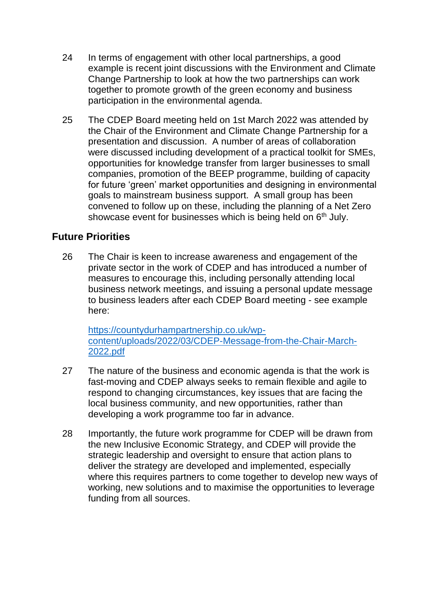- 24 In terms of engagement with other local partnerships, a good example is recent joint discussions with the Environment and Climate Change Partnership to look at how the two partnerships can work together to promote growth of the green economy and business participation in the environmental agenda.
- 25 The CDEP Board meeting held on 1st March 2022 was attended by the Chair of the Environment and Climate Change Partnership for a presentation and discussion. A number of areas of collaboration were discussed including development of a practical toolkit for SMEs, opportunities for knowledge transfer from larger businesses to small companies, promotion of the BEEP programme, building of capacity for future 'green' market opportunities and designing in environmental goals to mainstream business support. A small group has been convened to follow up on these, including the planning of a Net Zero showcase event for businesses which is being held on 6<sup>th</sup> July.

# **Future Priorities**

26 The Chair is keen to increase awareness and engagement of the private sector in the work of CDEP and has introduced a number of measures to encourage this, including personally attending local business network meetings, and issuing a personal update message to business leaders after each CDEP Board meeting - see example here:

[https://countydurhampartnership.co.uk/wp](https://countydurhampartnership.co.uk/wp-content/uploads/2022/03/CDEP-Message-from-the-Chair-March-2022.pdf)[content/uploads/2022/03/CDEP-Message-from-the-Chair-March-](https://countydurhampartnership.co.uk/wp-content/uploads/2022/03/CDEP-Message-from-the-Chair-March-2022.pdf)[2022.pdf](https://countydurhampartnership.co.uk/wp-content/uploads/2022/03/CDEP-Message-from-the-Chair-March-2022.pdf)

- 27 The nature of the business and economic agenda is that the work is fast-moving and CDEP always seeks to remain flexible and agile to respond to changing circumstances, key issues that are facing the local business community, and new opportunities, rather than developing a work programme too far in advance.
- 28 Importantly, the future work programme for CDEP will be drawn from the new Inclusive Economic Strategy, and CDEP will provide the strategic leadership and oversight to ensure that action plans to deliver the strategy are developed and implemented, especially where this requires partners to come together to develop new ways of working, new solutions and to maximise the opportunities to leverage funding from all sources.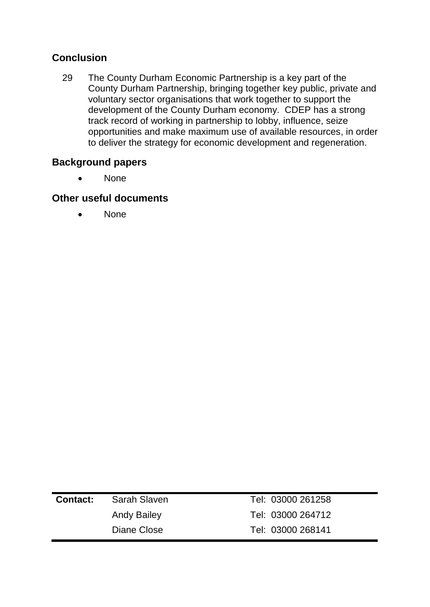# **Conclusion**

29 The County Durham Economic Partnership is a key part of the County Durham Partnership, bringing together key public, private and voluntary sector organisations that work together to support the development of the County Durham economy. CDEP has a strong track record of working in partnership to lobby, influence, seize opportunities and make maximum use of available resources, in order to deliver the strategy for economic development and regeneration.

# **Background papers**

• None

# **Other useful documents**

• None

| <b>Contact:</b> | Sarah Slaven       | Tel: 03000 261258 |
|-----------------|--------------------|-------------------|
|                 | <b>Andy Bailey</b> | Tel: 03000 264712 |
|                 | Diane Close        | Tel: 03000 268141 |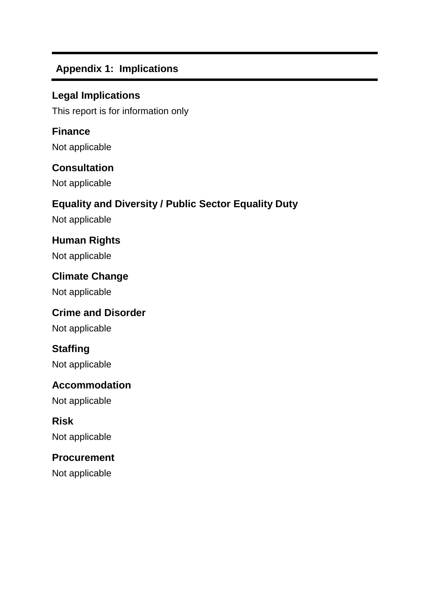# **Appendix 1: Implications**

# **Legal Implications**

This report is for information only

# **Finance**

Not applicable

# **Consultation**

Not applicable

# **Equality and Diversity / Public Sector Equality Duty**

Not applicable

# **Human Rights**

Not applicable

# **Climate Change**

Not applicable

# **Crime and Disorder**

Not applicable

# **Staffing**

Not applicable

# **Accommodation**

Not applicable

# **Risk**

Not applicable

# **Procurement**

Not applicable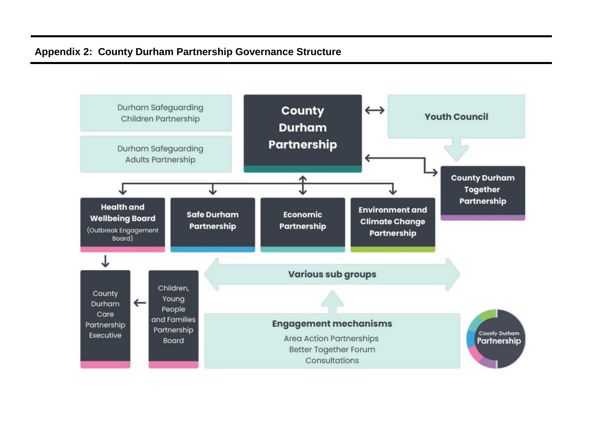# **Appendix 2: County Durham Partnership Governance Structure**